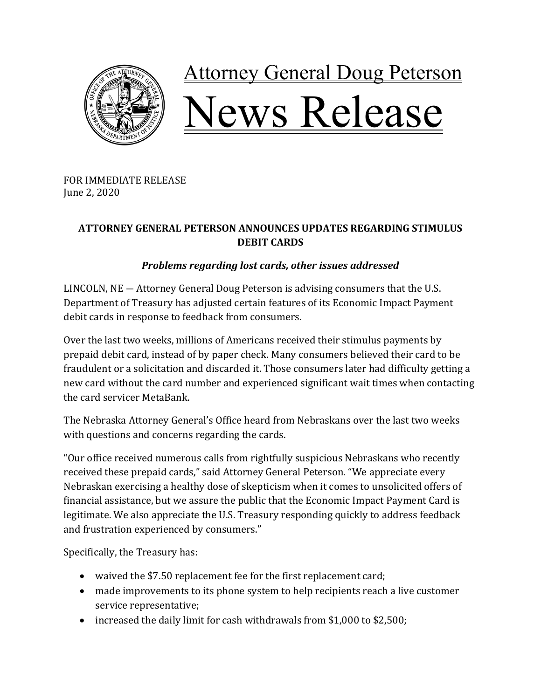

## **Attorney General Doug Peterson** Vews Release

FOR IMMEDIATE RELEASE June 2, 2020

## **ATTORNEY GENERAL PETERSON ANNOUNCES UPDATES REGARDING STIMULUS DEBIT CARDS**

## *Problems regarding lost cards, other issues addressed*

LINCOLN,  $NE -$  Attorney General Doug Peterson is advising consumers that the U.S. Department of Treasury has adjusted certain features of its Economic Impact Payment debit cards in response to feedback from consumers.

Over the last two weeks, millions of Americans received their stimulus payments by prepaid debit card, instead of by paper check. Many consumers believed their card to be fraudulent or a solicitation and discarded it. Those consumers later had difficulty getting a new card without the card number and experienced significant wait times when contacting the card servicer MetaBank.

The Nebraska Attorney General's Office heard from Nebraskans over the last two weeks with questions and concerns regarding the cards.

"Our office received numerous calls from rightfully suspicious Nebraskans who recently received these prepaid cards," said Attorney General Peterson. "We appreciate every Nebraskan exercising a healthy dose of skepticism when it comes to unsolicited offers of financial assistance, but we assure the public that the Economic Impact Payment Card is legitimate. We also appreciate the U.S. Treasury responding quickly to address feedback and frustration experienced by consumers."

Specifically, the Treasury has:

- waived the \$7.50 replacement fee for the first replacement card;
- made improvements to its phone system to help recipients reach a live customer service representative;
- increased the daily limit for cash withdrawals from \$1,000 to \$2,500;